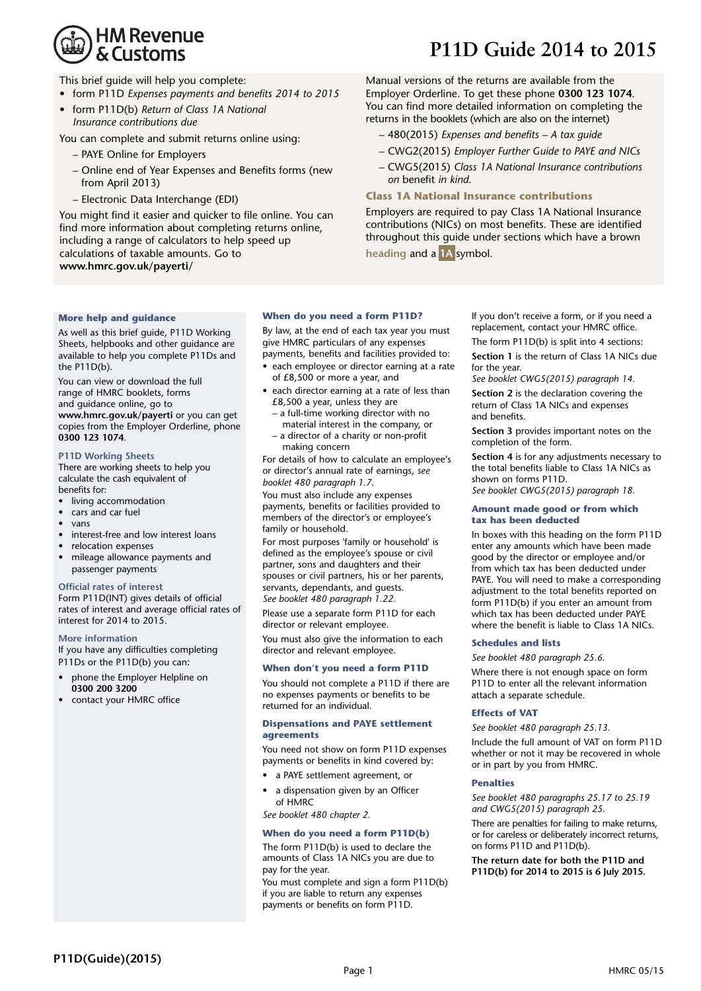# **HM Revenue** & Customs

# **P11D Guide 2014 to 2015**

This brief guide will help you complete:

- form P11D *Expenses payments and benefits 2014 to 2015*
- form P11D(b) *Return of Class 1A National Insurance contributions due*

You can complete and submit returns online using:

- PAYE Online for Employers
- Online end of Year Expenses and Benefits forms (new from April 2013)
- Electronic Data Interchange (EDI)

You might find it easier and quicker to file online. You can find more information about completing returns online, including a range of calculators to help speed up calculations of taxable amounts. Go to **www.hmrc.gov.uk/payerti/**

Manual versions of the returns are available from the Employer Orderline. To get these phone **0300 123 1074**. You can find more detailed information on completing the returns in the booklets (which are also on the internet)

- 480(2015) *Expenses and benefits – A tax guide*
- CWG2(2015) *Employer Further Guide to PAYE and NICs*
- CWG5(2015) *Class 1A National Insurance contributions on* benefit *in kind.*

#### **Class 1A National Insurance contributions**

Employers are required to pay Class 1A National Insurance contributions (NICs) on most benefits. These are identified throughout this guide under sections which have a brown **heading** and a **1A** symbol.

# **More help and guidance**

As well as this brief guide, P11D Working Sheets, helpbooks and other guidance are available to help you complete P11Ds and the P11D(b).

You can view or download the full range of HMRC booklets, forms and guidance online, go to **www.hmrc.gov.uk/payerti** or you can get copies from the Employer Orderline, phone **0300 123 1074**.

# **P11D Working Sheets**

There are working sheets to help you calculate the cash equivalent of benefits for:

- living accommodation
- cars and car fuel
- vans
- interest-free and low interest loans
- relocation expenses
- mileage allowance payments and passenger payments

#### **Official rates of interest**

Form P11D(INT) gives details of official rates of interest and average official rates of interest for 2014 to 2015.

#### **More information**

If you have any difficulties completing P11Ds or the P11D(b) you can:

- phone the Employer Helpline on **0300 200 3200**
- contact your HMRC office

## **When do you need a form P11D?**

By law, at the end of each tax year you must give HMRC particulars of any expenses payments, benefits and facilities provided to:

- each employee or director earning at a rate of £8,500 or more a year, and
- each director earning at a rate of less than £8,500 a year, unless they are
	- material interest in the company, or a director of a charity or non-profit – a full-time working director with no
		- making concern

For details of how to calculate an employee's or director's annual rate of earnings, *see booklet 480 paragraph 1.7*.

You must also include any expenses payments, benefits or facilities provided to members of the director's or employee's family or household.

For most purposes 'family or household' is defined as the employee's spouse or civil partner, sons and daughters and their spouses or civil partners, his or her parents, servants, dependants, and guests. *See booklet 480 paragraph 1.22.*

Please use a separate form P11D for each director or relevant employee.

You must also give the information to each director and relevant employee.

## **When don't you need a form P11D**

You should not complete a P11D if there are no expenses payments or benefits to be returned for an individual.

#### **Dispensations and PAYE settlement agreements**

You need not show on form P11D expenses payments or benefits in kind covered by:

- a PAYE settlement agreement, or
- a dispensation given by an Officer of HMRC

*See booklet 480 chapter 2.*

## **When do you need a form P11D(b)**

The form P11D(b) is used to declare the amounts of Class 1A NICs you are due to pay for the year.

You must complete and sign a form P11D(b) if you are liable to return any expenses payments or benefits on form P11D.

If you don't receive a form, or if you need a replacement, contact your HMRC office.

The form P11D(b) is split into 4 sections:

**Section 1** is the return of Class 1A NICs due for the year.

*See booklet CWG5(2015) paragraph 14.*

**Section 2** is the declaration covering the return of Class 1A NICs and expenses and benefits.

**Section 3** provides important notes on the completion of the form.

**Section 4** is for any adjustments necessary to the total benefits liable to Class 1A NICs as shown on forms P11D.

#### *See booklet CWG5(2015) paragraph 18.*

#### **Amount made good or from which tax has been deducted**

In boxes with this heading on the form P11D enter any amounts which have been made good by the director or employee and/or from which tax has been deducted under PAYE. You will need to make a corresponding adjustment to the total benefits reported on form P11D(b) if you enter an amount from which tax has been deducted under PAYE where the benefit is liable to Class 1A NICs.

#### **Schedules and lists**

*See booklet 480 paragraph 25.6.*

Where there is not enough space on form P11D to enter all the relevant information attach a separate schedule.

#### **Effects of VAT**

*See booklet 480 paragraph 25.13.*

Include the full amount of VAT on form P11D whether or not it may be recovered in whole or in part by you from HMRC.

#### **Penalties**

*See booklet 480 paragraphs 25.17 to 25.19 and CWG5(2015) paragraph 25.*

There are penalties for failing to make returns, or for careless or deliberately incorrect returns, on forms P11D and P11D(b).

**The return date for both the P11D and P11D(b) for 2014 to 2015 is 6 July 2015.**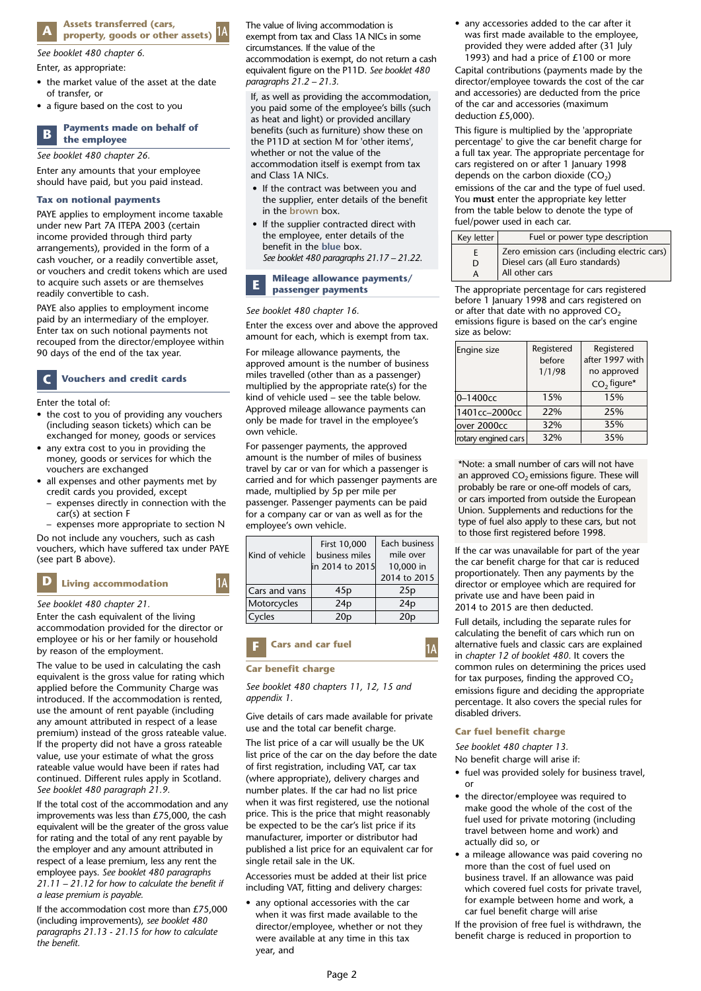#### **Assets transferred (cars, property, goods or other assets) A 1A**

*See booklet 480 chapter 6.*

#### Enter, as appropriate:

- the market value of the asset at the date of transfer, or
- a figure based on the cost to you

#### **Payments made on behalf of the employee B**

*See booklet 480 chapter 26.*

Enter any amounts that your employee should have paid, but you paid instead.

#### **Tax on notional payments**

PAYE applies to employment income taxable under new Part 7A ITEPA 2003 (certain income provided through third party arrangements), provided in the form of a cash voucher, or a readily convertible asset, or vouchers and credit tokens which are used to acquire such assets or are themselves readily convertible to cash.

PAYE also applies to employment income paid by an intermediary of the employer. Enter tax on such notional payments not recouped from the director/employee within 90 days of the end of the tax year.

#### **Vouchers and credit cards C**

Enter the total of:

- the cost to you of providing any vouchers (including season tickets) which can be exchanged for money, goods or services
- any extra cost to you in providing the money, goods or services for which the vouchers are exchanged
- all expenses and other payments met by credit cards you provided, except
	- expenses directly in connection with the car(s) at section F
	- expenses more appropriate to section N

Do not include any vouchers, such as cash vouchers, which have suffered tax under PAYE (see part B above).

#### **Living accommodation <sup>D</sup> 1A**

# *See booklet 480 chapter 21.*

Enter the cash equivalent of the living accommodation provided for the director or employee or his or her family or household by reason of the employment.

The value to be used in calculating the cash equivalent is the gross value for rating which applied before the Community Charge was introduced. If the accommodation is rented, use the amount of rent payable (including any amount attributed in respect of a lease premium) instead of the gross rateable value. If the property did not have a gross rateable value, use your estimate of what the gross rateable value would have been if rates had continued. Different rules apply in Scotland. *See booklet 480 paragraph 21.9.*

If the total cost of the accommodation and any improvements was less than £75,000, the cash equivalent will be the greater of the gross value for rating and the total of any rent payable by the employer and any amount attributed in respect of a lease premium, less any rent the employee pays. *See booklet 480 paragraphs 21.11 – 21.12 for how to calculate the benefit if a lease premium is payable.*

If the accommodation cost more than £75,000 (including improvements), *see booklet 480 paragraphs 21.13 - 21.15 for how to calculate the benefit.*

The value of living accommodation is exempt from tax and Class 1A NICs in some circumstances. If the value of the accommodation is exempt, do not return a cash equivalent figure on the P11D. *See booklet 480 paragraphs 21.2 – 21.3.*

If, as well as providing the accommodation, you paid some of the employee's bills (such as heat and light) or provided ancillary benefits (such as furniture) show these on the P11D at section M for 'other items', whether or not the value of the accommodation itself is exempt from tax and Class 1A NICs.

- If the contract was between you and the supplier, enter details of the benefit in the **brown** box.
- If the supplier contracted direct with the employee, enter details of the benefit in the **blue** box. *See booklet 480 paragraphs 21.17 – 21.22*.

#### **Mileage allowance payments/ passenger payments E**

#### *See booklet 480 chapter 16.*

Enter the excess over and above the approved amount for each, which is exempt from tax.

For mileage allowance payments, the approved amount is the number of business miles travelled (other than as a passenger) multiplied by the appropriate rate(s) for the kind of vehicle used – see the table below. Approved mileage allowance payments can only be made for travel in the employee's own vehicle.

For passenger payments, the approved amount is the number of miles of business travel by car or van for which a passenger is carried and for which passenger payments are made, multiplied by 5p per mile per passenger. Passenger payments can be paid for a company car or van as well as for the employee's own vehicle.

|                 | First 10,000    | Each business   |
|-----------------|-----------------|-----------------|
| Kind of vehicle | business miles  | mile over       |
|                 | in 2014 to 2015 | 10,000 in       |
|                 |                 | 2014 to 2015    |
| Cars and vans   | 45p             | 25p             |
| Motorcycles     | 24p             | 24p             |
| Cycles          | 20 <sub>p</sub> | 20 <sub>p</sub> |

# **Cars and car fuel F 1A Car benefit charge**

*See booklet 480 chapters 11, 12, 15 and appendix 1.*

Give details of cars made available for private use and the total car benefit charge.

The list price of a car will usually be the UK list price of the car on the day before the date of first registration, including VAT, car tax (where appropriate), delivery charges and number plates. If the car had no list price when it was first registered, use the notional price. This is the price that might reasonably be expected to be the car's list price if its manufacturer, importer or distributor had published a list price for an equivalent car for single retail sale in the UK.

Accessories must be added at their list price including VAT, fitting and delivery charges:

• any optional accessories with the car when it was first made available to the director/employee, whether or not they were available at any time in this tax year, and

• any accessories added to the car after it was first made available to the employee, provided they were added after (31 July 1993) and had a price of  $£100$  or more

Capital contributions (payments made by the director/employee towards the cost of the car and accessories) are deducted from the price of the car and accessories (maximum deduction £5,000).

This figure is multiplied by the 'appropriate percentage' to give the car benefit charge for a full tax year. The appropriate percentage for cars registered on or after 1 January 1998 depends on the carbon dioxide  $(CO<sub>2</sub>)$ emissions of the car and the type of fuel used. You **must** enter the appropriate key letter from the table below to denote the type of fuel/power used in each car.

| Key letter | Fuel or power type description               |
|------------|----------------------------------------------|
| н.         | Zero emission cars (including electric cars) |
| D          | Diesel cars (all Euro standards)             |
| A          | All other cars                               |

The appropriate percentage for cars registered before 1 January 1998 and cars registered on or after that date with no approved  $CO<sub>2</sub>$ emissions figure is based on the car's engine size as below:

| Engine size         | Registered<br>before<br>1/1/98 | Registered<br>after 1997 with<br>no approved<br>CO <sub>2</sub> figure* |
|---------------------|--------------------------------|-------------------------------------------------------------------------|
| $0 - 1400c$         | 15%                            | 15%                                                                     |
| 1401cc-2000cc       | 22%                            | 25%                                                                     |
| over 2000cc         | 32%                            | 35%                                                                     |
| rotary engined cars | 32%                            | 35%                                                                     |

\*Note: a small number of cars will not have an approved  $CO<sub>2</sub>$  emissions figure. These will probably be rare or one-off models of cars, or cars imported from outside the European Union. Supplements and reductions for the type of fuel also apply to these cars, but not to those first registered before 1998.

If the car was unavailable for part of the year the car benefit charge for that car is reduced proportionately. Then any payments by the director or employee which are required for private use and have been paid in 2014 to 2015 are then deducted.

Full details, including the separate rules for calculating the benefit of cars which run on alternative fuels and classic cars are explained in *chapter 12 of booklet 480.* It covers the common rules on determining the prices used for tax purposes, finding the approved  $CO<sub>2</sub>$ emissions figure and deciding the appropriate percentage. It also covers the special rules for disabled drivers.

#### **Car fuel benefit charge**

*See booklet 480 chapter 13.* 

No benefit charge will arise if:

- fuel was provided solely for business travel, or
- the director/employee was required to make good the whole of the cost of the fuel used for private motoring (including travel between home and work) and actually did so, or
- a mileage allowance was paid covering no more than the cost of fuel used on business travel. If an allowance was paid which covered fuel costs for private travel, for example between home and work, a car fuel benefit charge will arise

If the provision of free fuel is withdrawn, the benefit charge is reduced in proportion to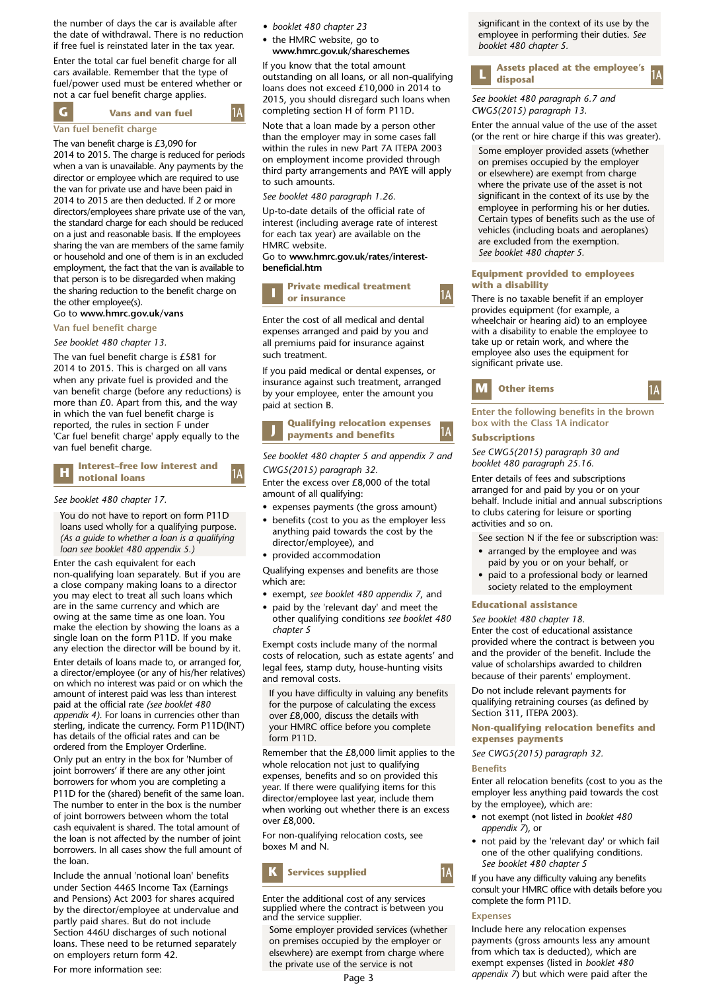the number of days the car is available after the date of withdrawal. There is no reduction if free fuel is reinstated later in the tax year.

Enter the total car fuel benefit charge for all cars available. Remember that the type of fuel/power used must be entered whether or not a car fuel benefit charge applies.

**G 1A Vans and van fuel**

## **Van fuel benefit charge**

The van benefit charge is £3,090 for 2014 to 2015. The charge is reduced for periods when a van is unavailable. Any payments by the director or employee which are required to use the van for private use and have been paid in 2014 to 2015 are then deducted. If 2 or more directors/employees share private use of the van, the standard charge for each should be reduced on a just and reasonable basis. If the employees sharing the van are members of the same family or household and one of them is in an excluded employment, the fact that the van is available to that person is to be disregarded when making the sharing reduction to the benefit charge on the other employee(s).

## Go to **www.hmrc.gov.uk/vans**

**Van fuel benefit charge**

*See booklet 480 chapter 13.*

The van fuel benefit charge is £581 for 2014 to 2015. This is charged on all vans when any private fuel is provided and the van benefit charge (before any reductions) is more than £0. Apart from this, and the way in which the van fuel benefit charge is reported, the rules in section F under 'Car fuel benefit charge' apply equally to the van fuel benefit charge.

#### **H notional** loans **1 1**A **Interest-free low interest and**

#### *See booklet 480 chapter 17.*

You do not have to report on form P11D loans used wholly for a qualifying purpose. *(As a guide to whether a loan is a qualifying loan see booklet 480 appendix 5.)*

Enter the cash equivalent for each non-qualifying loan separately. But if you are a close company making loans to a director you may elect to treat all such loans which are in the same currency and which are owing at the same time as one loan. You make the election by showing the loans as a single loan on the form P11D. If you make any election the director will be bound by it.

Enter details of loans made to, or arranged for, a director/employee (or any of his/her relatives) on which no interest was paid or on which the amount of interest paid was less than interest paid at the official rate *(see booklet 480 appendix 4)*. For loans in currencies other than sterling, indicate the currency. Form P11D(INT) has details of the official rates and can be ordered from the Employer Orderline.

Only put an entry in the box for 'Number of joint borrowers' if there are any other joint borrowers for whom you are completing a P11D for the (shared) benefit of the same loan. The number to enter in the box is the number of joint borrowers between whom the total cash equivalent is shared. The total amount of the loan is not affected by the number of joint borrowers. In all cases show the full amount of the loan.

Include the annual 'notional loan' benefits under Section 446S Income Tax (Earnings and Pensions) Act 2003 for shares acquired by the director/employee at undervalue and partly paid shares. But do not include Section 446U discharges of such notional loans. These need to be returned separately on employers return form 42.

For more information see:

- *booklet 480 chapter 23*
- the HMRC website, go to **www.hmrc.gov.uk/shareschemes**

If you know that the total amount outstanding on all loans, or all non-qualifying loans does not exceed £10,000 in 2014 to 2015, you should disregard such loans when completing section H of form P11D.

Note that a loan made by a person other than the employer may in some cases fall within the rules in new Part 7A ITEPA 2003 on employment income provided through third party arrangements and PAYE will apply to such amounts.

*See booklet 480 paragraph 1.26.*

Up-to-date details of the official rate of interest (including average rate of interest for each tax year) are available on the HMRC website.

Go to **www.hmrc.gov.uk/rates/interestbeneficial.htm**

#### **I Private medical treatment or insurance**

Enter the cost of all medical and dental expenses arranged and paid by you and all premiums paid for insurance against such treatment.

If you paid medical or dental expenses, or insurance against such treatment, arranged by your employee, enter the amount you paid at section B.

**J 1A Qualifying relocation expenses payments and benefits** 

*See booklet 480 chapter 5 and appendix 7 and CWG5(2015) paragraph 32.*

Enter the excess over £8,000 of the total amount of all qualifying:

- expenses payments (the gross amount)
- benefits (cost to you as the employer less anything paid towards the cost by the director/employee), and
- provided accommodation

Qualifying expenses and benefits are those which are:

- exempt, *see booklet 480 appendix 7*, and
- paid by the 'relevant day' and meet the other qualifying conditions *see booklet 480 chapter 5*

Exempt costs include many of the normal costs of relocation, such as estate agents' and legal fees, stamp duty, house-hunting visits and removal costs.

If you have difficulty in valuing any benefits for the purpose of calculating the excess over £8,000, discuss the details with your HMRC office before you complete form P11D.

Remember that the £8,000 limit applies to the whole relocation not just to qualifying expenses, benefits and so on provided this year. If there were qualifying items for this director/employee last year, include them when working out whether there is an excess over £8,000.

For non-qualifying relocation costs, see boxes M and N.



Enter the additional cost of any services supplied where the contract is between you and the service supplier.

Some employer provided services (whether on premises occupied by the employer or elsewhere) are exempt from charge where the private use of the service is not

significant in the context of its use by the employee in performing their duties. *See booklet 480 chapter 5.*

#### **L 1A Assets placed at the employee's**   $\mathbf{L}$  disposal

*See booklet 480 paragraph 6.7 and CWG5(2015) paragraph 13.* Enter the annual value of the use of the asset

(or the rent or hire charge if this was greater).

Some employer provided assets (whether on premises occupied by the employer or elsewhere) are exempt from charge where the private use of the asset is not significant in the context of its use by the employee in performing his or her duties. Certain types of benefits such as the use of vehicles (including boats and aeroplanes) are excluded from the exemption. *See booklet 480 chapter 5.*

#### **Equipment provided to employees with a disability**

There is no taxable benefit if an employer provides equipment (for example, a wheelchair or hearing aid) to an employee with a disability to enable the employee to take up or retain work, and where the employee also uses the equipment for significant private use.



**1A**

# **Enter the following benefits in the brown box with the Class 1A indicator**

#### **Subscriptions**

*See CWG5(2015) paragraph 30 and booklet 480 paragraph 25.16.*

Enter details of fees and subscriptions arranged for and paid by you or on your behalf. Include initial and annual subscriptions to clubs catering for leisure or sporting activities and so on.

- See section N if the fee or subscription was:
- arranged by the employee and was paid by you or on your behalf, or
- paid to a professional body or learned society related to the employment

#### **Educational assistance**

*See booklet 480 chapter 18.* Enter the cost of educational assistance provided where the contract is between you and the provider of the benefit. Include the value of scholarships awarded to children because of their parents' employment.

Do not include relevant payments for qualifying retraining courses (as defined by Section 311, ITEPA 2003).

#### **Non-qualifying relocation benefits and expenses payments**

*See CWG5(2015) paragraph 32.*

#### **Benefits**

Enter all relocation benefits (cost to you as the employer less anything paid towards the cost by the employee), which are:

- not exempt (not listed in *booklet 480 appendix 7*), or
- not paid by the 'relevant day' or which fail one of the other qualifying conditions.  *See booklet 480 chapter 5*

If you have any difficulty valuing any benefits consult your HMRC office with details before you complete the form P11D.

#### **Expenses**

Include here any relocation expenses payments (gross amounts less any amount from which tax is deducted), which are exempt expenses (listed in *booklet 480 appendix 7*) but which were paid after the